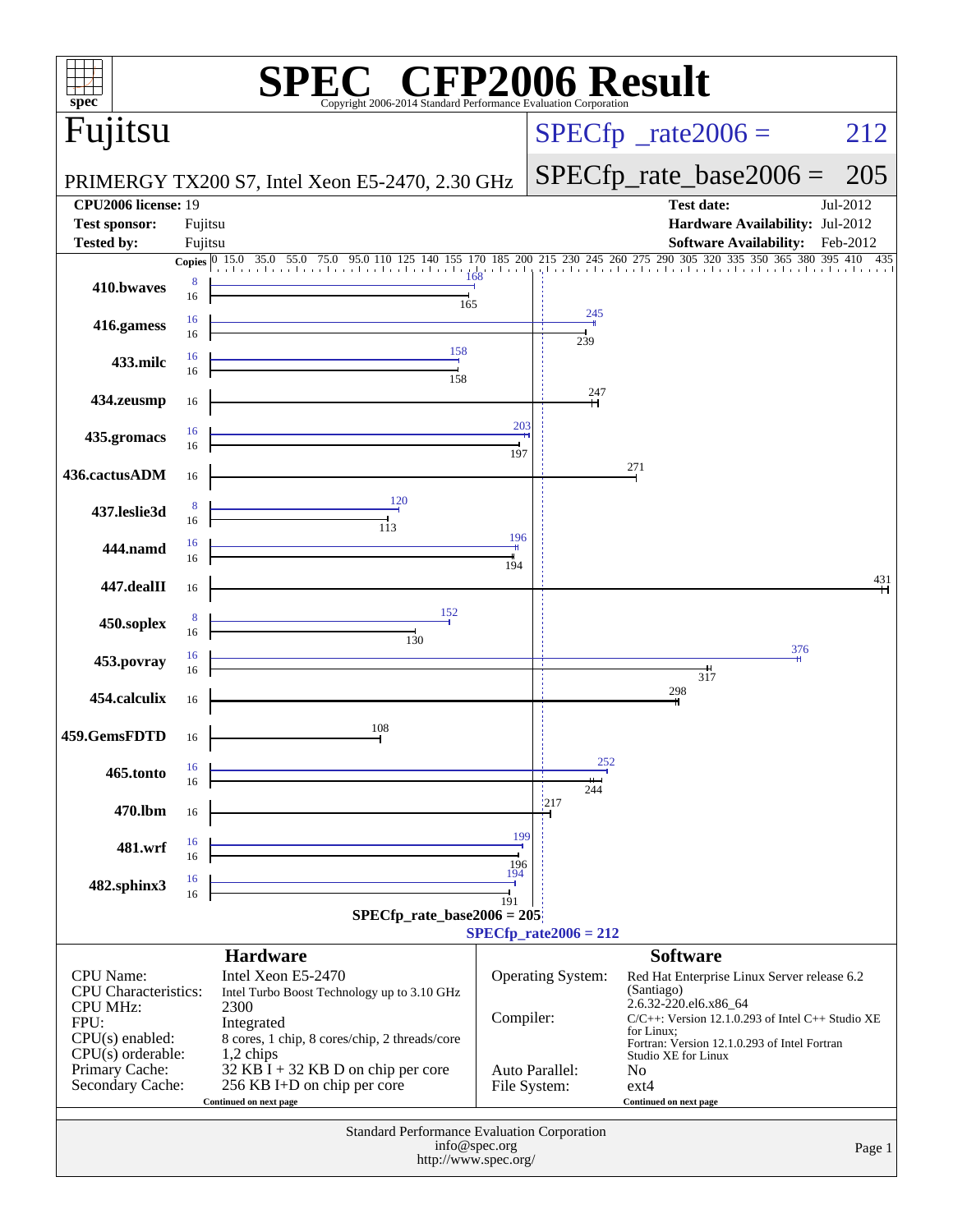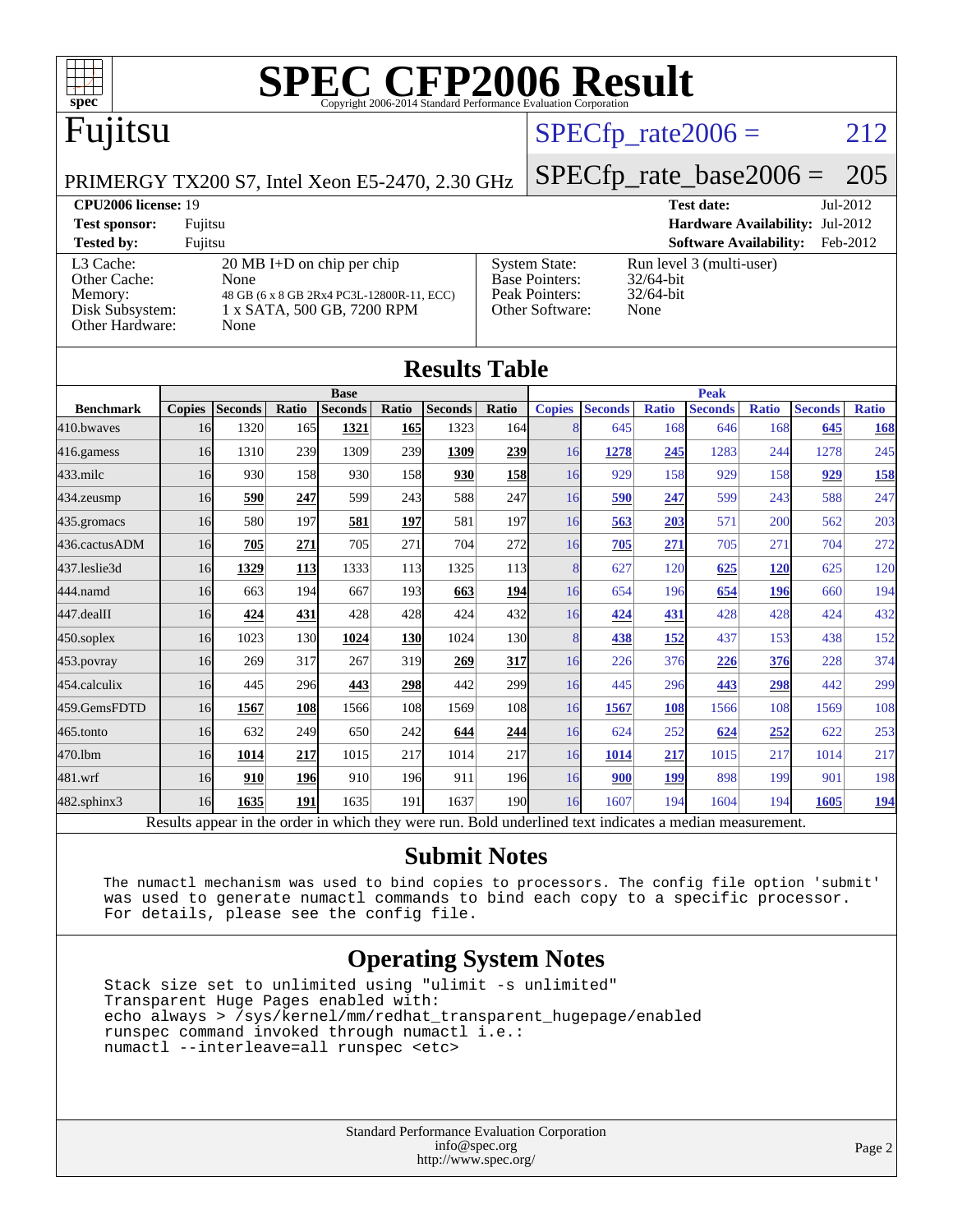

[Base Pointers:](http://www.spec.org/auto/cpu2006/Docs/result-fields.html#BasePointers)

# Fujitsu

# $SPECTp_rate2006 = 212$

[System State:](http://www.spec.org/auto/cpu2006/Docs/result-fields.html#SystemState) Run level 3 (multi-user)<br>Base Pointers: 32/64-bit

[Peak Pointers:](http://www.spec.org/auto/cpu2006/Docs/result-fields.html#PeakPointers) 32/64-bit [Other Software:](http://www.spec.org/auto/cpu2006/Docs/result-fields.html#OtherSoftware) None

PRIMERGY TX200 S7, Intel Xeon E5-2470, 2.30 GHz

# [SPECfp\\_rate\\_base2006 =](http://www.spec.org/auto/cpu2006/Docs/result-fields.html#SPECfpratebase2006) 205

**[CPU2006 license:](http://www.spec.org/auto/cpu2006/Docs/result-fields.html#CPU2006license)** 19 **[Test date:](http://www.spec.org/auto/cpu2006/Docs/result-fields.html#Testdate)** Jul-2012 **[Test sponsor:](http://www.spec.org/auto/cpu2006/Docs/result-fields.html#Testsponsor)** Fujitsu **[Hardware Availability:](http://www.spec.org/auto/cpu2006/Docs/result-fields.html#HardwareAvailability)** Jul-2012 **[Tested by:](http://www.spec.org/auto/cpu2006/Docs/result-fields.html#Testedby)** Fujitsu **[Software Availability:](http://www.spec.org/auto/cpu2006/Docs/result-fields.html#SoftwareAvailability)** Feb-2012

| rested by.      | r ujitsu                                  |
|-----------------|-------------------------------------------|
| L3 Cache:       | $20 \text{ MB I+D}$ on chip per chip      |
| Other Cache:    | None                                      |
| Memory:         | 48 GB (6 x 8 GB 2Rx4 PC3L-12800R-11, ECC) |
| Disk Subsystem: | 1 x SATA, 500 GB, 7200 RPM                |
| Other Hardware: | None                                      |
|                 |                                           |

| <b>Results Table</b>                                                                                     |               |                |            |                |       |                |                  |               |                |              |                |              |                |              |
|----------------------------------------------------------------------------------------------------------|---------------|----------------|------------|----------------|-------|----------------|------------------|---------------|----------------|--------------|----------------|--------------|----------------|--------------|
|                                                                                                          | <b>Base</b>   |                |            |                |       | <b>Peak</b>    |                  |               |                |              |                |              |                |              |
| <b>Benchmark</b>                                                                                         | <b>Copies</b> | <b>Seconds</b> | Ratio      | <b>Seconds</b> | Ratio | <b>Seconds</b> | Ratio            | <b>Copies</b> | <b>Seconds</b> | <b>Ratio</b> | <b>Seconds</b> | <b>Ratio</b> | <b>Seconds</b> | <b>Ratio</b> |
| 410.bwayes                                                                                               | 16            | 1320           | 165        | 1321           | 165   | 1323           | 164              | 8             | 645            | 168          | 646            | 168          | 645            | 168          |
| 416.gamess                                                                                               | 16            | 1310           | 239        | 1309           | 239   | 1309           | 239              | 16            | 1278           | 245          | 1283           | 244          | 1278           | 245          |
| $433$ .milc                                                                                              | 16            | 930            | 158        | 930            | 158   | 930            | <b>158</b>       | 16            | 929            | 158          | 929            | 158          | 929            | <b>158</b>   |
| 434.zeusmp                                                                                               | 16            | 590            | 247        | 599            | 243   | 588            | 247              | 16            | 590            | 247          | 599            | 243          | 588            | 247          |
| 435.gromacs                                                                                              | 16            | 580            | 197        | 581            | 197   | 581            | 197              | 16            | 563            | 203          | 571            | 200          | 562            | 203          |
| 436.cactusADM                                                                                            | 16            | 705            | 271        | 705            | 271   | 704            | 272              | 16            | 705            | 271          | 705            | 271          | 704            | 272          |
| 437.leslie3d                                                                                             | 16            | 1329           | <b>113</b> | 1333           | 113   | 1325           | 113 <sup> </sup> | 8             | 627            | 120          | 625            | <b>120</b>   | 625            | 120          |
| 444.namd                                                                                                 | 16            | 663            | 194        | 667            | 193   | 663            | <b>194</b>       | 16            | 654            | 196          | 654            | 196          | 660            | 194          |
| 447.dealII                                                                                               | 16            | 424            | 431        | 428            | 428   | 424            | 432              | 16            | 424            | 431          | 428            | 428          | 424            | 432          |
| $450$ .soplex                                                                                            | 16            | 1023           | 130        | 1024           | 130   | 1024           | 130              | 8             | 438            | 152          | 437            | 153          | 438            | 152          |
| 453.povray                                                                                               | 16            | 269            | 317        | 267            | 319   | 269            | 317              | 16            | 226            | 376          | 226            | 376          | 228            | 374          |
| 454.calculix                                                                                             | 16            | 445            | 296        | 443            | 298   | 442            | 299              | 16            | 445            | 296          | 443            | 298          | 442            | 299          |
| 459.GemsFDTD                                                                                             | 16            | 1567           | 108        | 1566           | 108   | 1569           | 108              | 16            | 1567           | 108          | 1566           | 108          | 1569           | 108          |
| 465.tonto                                                                                                | 16            | 632            | 249        | 650            | 242   | 644            | 244              | 16            | 624            | 252          | 624            | 252          | 622            | 253          |
| 470.1bm                                                                                                  | 16            | 1014           | 217        | 1015           | 217   | 1014           | 217              | 16            | 1014           | 217          | 1015           | 217          | 1014           | 217          |
| 481.wrf                                                                                                  | 16            | 910            | 196        | 910            | 196   | 911            | 196              | 16            | 900            | 199          | 898            | 199          | 901            | 198          |
| 482.sphinx3                                                                                              | 16            | 1635           | 191        | 1635           | 191   | 1637           | 190 <sup>1</sup> | 16            | 1607           | 194          | 1604           | 194          | 1605           | <u>194</u>   |
| Results appear in the order in which they were run. Bold underlined text indicates a median measurement. |               |                |            |                |       |                |                  |               |                |              |                |              |                |              |

#### **[Submit Notes](http://www.spec.org/auto/cpu2006/Docs/result-fields.html#SubmitNotes)**

 The numactl mechanism was used to bind copies to processors. The config file option 'submit' was used to generate numactl commands to bind each copy to a specific processor. For details, please see the config file.

### **[Operating System Notes](http://www.spec.org/auto/cpu2006/Docs/result-fields.html#OperatingSystemNotes)**

 Stack size set to unlimited using "ulimit -s unlimited" Transparent Huge Pages enabled with: echo always > /sys/kernel/mm/redhat\_transparent\_hugepage/enabled runspec command invoked through numactl i.e.: numactl --interleave=all runspec <etc>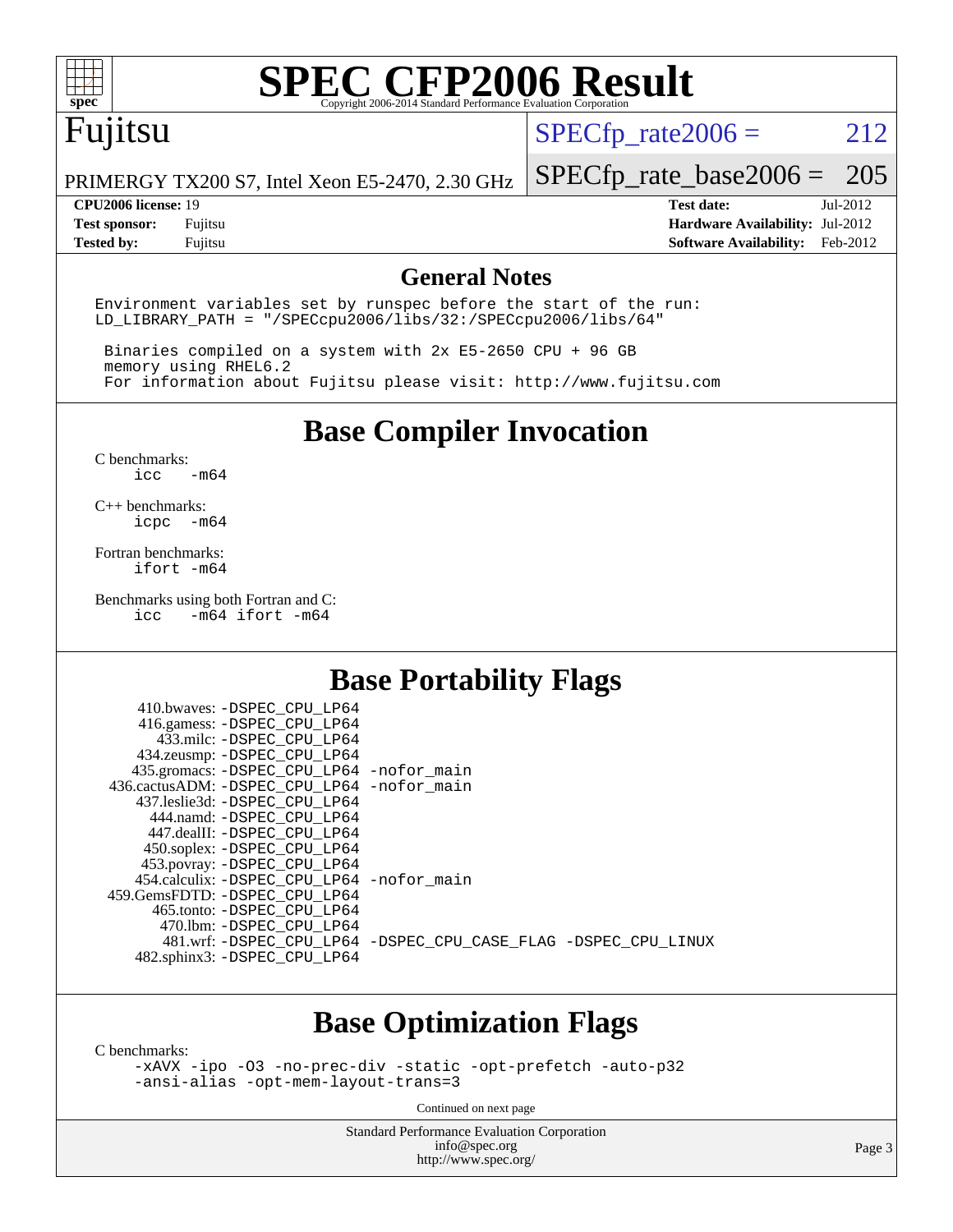

# Fujitsu

 $SPECTp_rate2006 = 212$ 

PRIMERGY TX200 S7, Intel Xeon E5-2470, 2.30 GHz

[SPECfp\\_rate\\_base2006 =](http://www.spec.org/auto/cpu2006/Docs/result-fields.html#SPECfpratebase2006) 205

**[CPU2006 license:](http://www.spec.org/auto/cpu2006/Docs/result-fields.html#CPU2006license)** 19 **[Test date:](http://www.spec.org/auto/cpu2006/Docs/result-fields.html#Testdate)** Jul-2012 **[Test sponsor:](http://www.spec.org/auto/cpu2006/Docs/result-fields.html#Testsponsor)** Fujitsu **[Hardware Availability:](http://www.spec.org/auto/cpu2006/Docs/result-fields.html#HardwareAvailability)** Jul-2012 **[Tested by:](http://www.spec.org/auto/cpu2006/Docs/result-fields.html#Testedby)** Fujitsu **[Software Availability:](http://www.spec.org/auto/cpu2006/Docs/result-fields.html#SoftwareAvailability)** Feb-2012

### **[General Notes](http://www.spec.org/auto/cpu2006/Docs/result-fields.html#GeneralNotes)**

Environment variables set by runspec before the start of the run: LD\_LIBRARY\_PATH = "/SPECcpu2006/libs/32:/SPECcpu2006/libs/64"

 Binaries compiled on a system with 2x E5-2650 CPU + 96 GB memory using RHEL6.2 For information about Fujitsu please visit: <http://www.fujitsu.com>

**[Base Compiler Invocation](http://www.spec.org/auto/cpu2006/Docs/result-fields.html#BaseCompilerInvocation)**

[C benchmarks](http://www.spec.org/auto/cpu2006/Docs/result-fields.html#Cbenchmarks):  $\text{icc}$   $-\text{m64}$ 

[C++ benchmarks:](http://www.spec.org/auto/cpu2006/Docs/result-fields.html#CXXbenchmarks) [icpc -m64](http://www.spec.org/cpu2006/results/res2012q3/cpu2006-20120810-24124.flags.html#user_CXXbase_intel_icpc_64bit_bedb90c1146cab66620883ef4f41a67e)

[Fortran benchmarks](http://www.spec.org/auto/cpu2006/Docs/result-fields.html#Fortranbenchmarks): [ifort -m64](http://www.spec.org/cpu2006/results/res2012q3/cpu2006-20120810-24124.flags.html#user_FCbase_intel_ifort_64bit_ee9d0fb25645d0210d97eb0527dcc06e)

[Benchmarks using both Fortran and C](http://www.spec.org/auto/cpu2006/Docs/result-fields.html#BenchmarksusingbothFortranandC):<br>icc -m64 ifort -m64  $-m64$  ifort  $-m64$ 

## **[Base Portability Flags](http://www.spec.org/auto/cpu2006/Docs/result-fields.html#BasePortabilityFlags)**

| 410.bwaves: -DSPEC CPU LP64                  |                                                                |
|----------------------------------------------|----------------------------------------------------------------|
| 416.gamess: -DSPEC_CPU_LP64                  |                                                                |
| 433.milc: -DSPEC CPU LP64                    |                                                                |
| 434.zeusmp: - DSPEC CPU LP64                 |                                                                |
| 435.gromacs: -DSPEC_CPU_LP64 -nofor_main     |                                                                |
| 436.cactusADM: - DSPEC CPU LP64 - nofor main |                                                                |
| 437.leslie3d: -DSPEC CPU LP64                |                                                                |
| 444.namd: -DSPEC CPU LP64                    |                                                                |
| 447.dealII: -DSPEC CPU LP64                  |                                                                |
| 450.soplex: -DSPEC_CPU_LP64                  |                                                                |
| 453.povray: -DSPEC_CPU_LP64                  |                                                                |
| 454.calculix: - DSPEC CPU LP64 - nofor main  |                                                                |
| 459.GemsFDTD: - DSPEC_CPU LP64               |                                                                |
| 465.tonto: - DSPEC CPU LP64                  |                                                                |
| 470.1bm: - DSPEC CPU LP64                    |                                                                |
|                                              | 481.wrf: -DSPEC_CPU_LP64 -DSPEC_CPU_CASE_FLAG -DSPEC_CPU_LINUX |
| 482.sphinx3: -DSPEC_CPU_LP64                 |                                                                |
|                                              |                                                                |

## **[Base Optimization Flags](http://www.spec.org/auto/cpu2006/Docs/result-fields.html#BaseOptimizationFlags)**

[C benchmarks](http://www.spec.org/auto/cpu2006/Docs/result-fields.html#Cbenchmarks):

[-xAVX](http://www.spec.org/cpu2006/results/res2012q3/cpu2006-20120810-24124.flags.html#user_CCbase_f-xAVX) [-ipo](http://www.spec.org/cpu2006/results/res2012q3/cpu2006-20120810-24124.flags.html#user_CCbase_f-ipo) [-O3](http://www.spec.org/cpu2006/results/res2012q3/cpu2006-20120810-24124.flags.html#user_CCbase_f-O3) [-no-prec-div](http://www.spec.org/cpu2006/results/res2012q3/cpu2006-20120810-24124.flags.html#user_CCbase_f-no-prec-div) [-static](http://www.spec.org/cpu2006/results/res2012q3/cpu2006-20120810-24124.flags.html#user_CCbase_f-static) [-opt-prefetch](http://www.spec.org/cpu2006/results/res2012q3/cpu2006-20120810-24124.flags.html#user_CCbase_f-opt-prefetch) [-auto-p32](http://www.spec.org/cpu2006/results/res2012q3/cpu2006-20120810-24124.flags.html#user_CCbase_f-auto-p32) [-ansi-alias](http://www.spec.org/cpu2006/results/res2012q3/cpu2006-20120810-24124.flags.html#user_CCbase_f-ansi-alias) [-opt-mem-layout-trans=3](http://www.spec.org/cpu2006/results/res2012q3/cpu2006-20120810-24124.flags.html#user_CCbase_f-opt-mem-layout-trans_a7b82ad4bd7abf52556d4961a2ae94d5)

Continued on next page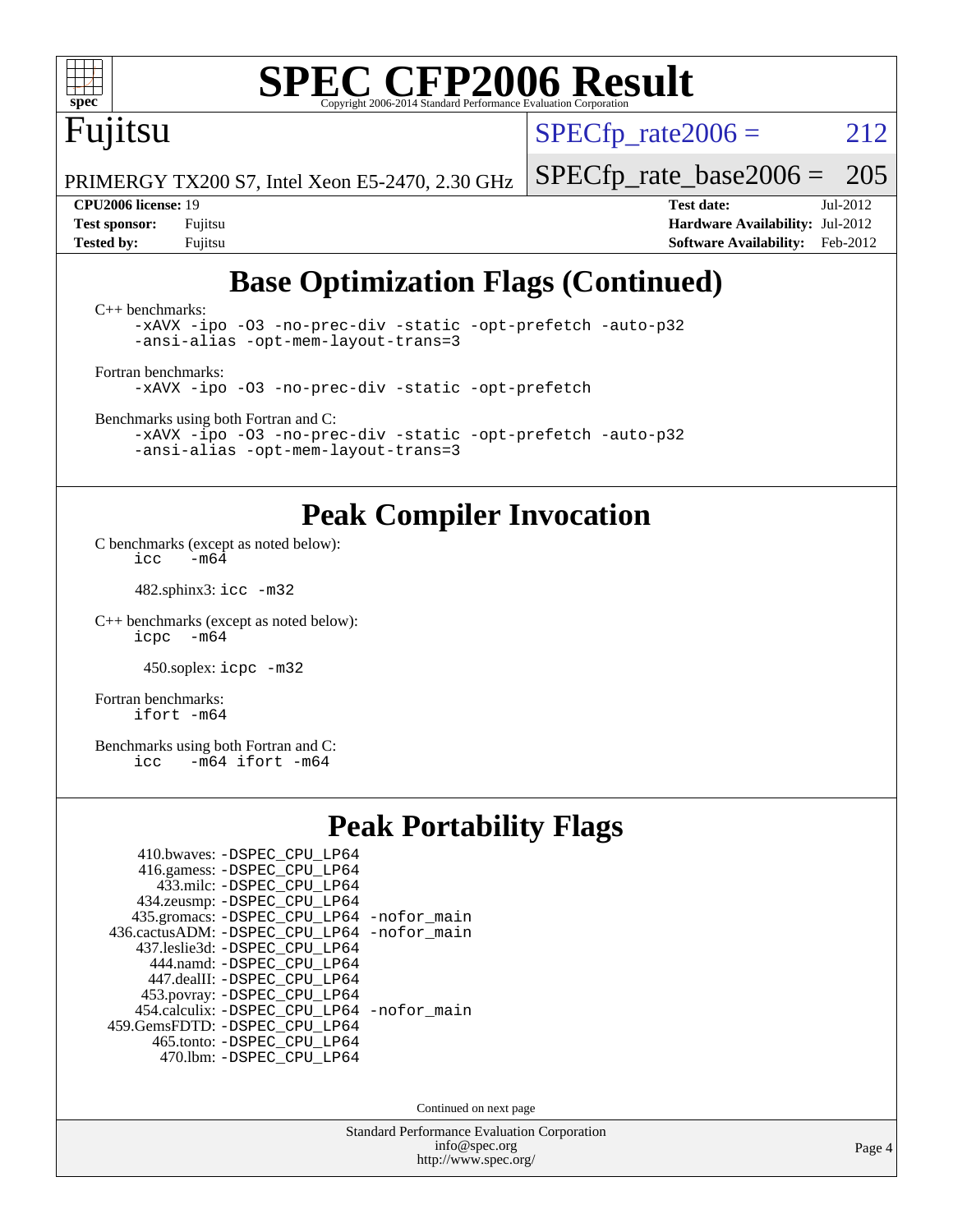Fujitsu

 $SPECTp\_rate2006 = 212$ 

PRIMERGY TX200 S7, Intel Xeon E5-2470, 2.30 GHz

[SPECfp\\_rate\\_base2006 =](http://www.spec.org/auto/cpu2006/Docs/result-fields.html#SPECfpratebase2006) 205

**[CPU2006 license:](http://www.spec.org/auto/cpu2006/Docs/result-fields.html#CPU2006license)** 19 **[Test date:](http://www.spec.org/auto/cpu2006/Docs/result-fields.html#Testdate)** Jul-2012 **[Test sponsor:](http://www.spec.org/auto/cpu2006/Docs/result-fields.html#Testsponsor)** Fujitsu **[Hardware Availability:](http://www.spec.org/auto/cpu2006/Docs/result-fields.html#HardwareAvailability)** Jul-2012 **[Tested by:](http://www.spec.org/auto/cpu2006/Docs/result-fields.html#Testedby)** Fujitsu **[Software Availability:](http://www.spec.org/auto/cpu2006/Docs/result-fields.html#SoftwareAvailability)** Feb-2012

# **[Base Optimization Flags \(Continued\)](http://www.spec.org/auto/cpu2006/Docs/result-fields.html#BaseOptimizationFlags)**

[C++ benchmarks:](http://www.spec.org/auto/cpu2006/Docs/result-fields.html#CXXbenchmarks) [-xAVX](http://www.spec.org/cpu2006/results/res2012q3/cpu2006-20120810-24124.flags.html#user_CXXbase_f-xAVX) [-ipo](http://www.spec.org/cpu2006/results/res2012q3/cpu2006-20120810-24124.flags.html#user_CXXbase_f-ipo) [-O3](http://www.spec.org/cpu2006/results/res2012q3/cpu2006-20120810-24124.flags.html#user_CXXbase_f-O3) [-no-prec-div](http://www.spec.org/cpu2006/results/res2012q3/cpu2006-20120810-24124.flags.html#user_CXXbase_f-no-prec-div) [-static](http://www.spec.org/cpu2006/results/res2012q3/cpu2006-20120810-24124.flags.html#user_CXXbase_f-static) [-opt-prefetch](http://www.spec.org/cpu2006/results/res2012q3/cpu2006-20120810-24124.flags.html#user_CXXbase_f-opt-prefetch) [-auto-p32](http://www.spec.org/cpu2006/results/res2012q3/cpu2006-20120810-24124.flags.html#user_CXXbase_f-auto-p32) [-ansi-alias](http://www.spec.org/cpu2006/results/res2012q3/cpu2006-20120810-24124.flags.html#user_CXXbase_f-ansi-alias) [-opt-mem-layout-trans=3](http://www.spec.org/cpu2006/results/res2012q3/cpu2006-20120810-24124.flags.html#user_CXXbase_f-opt-mem-layout-trans_a7b82ad4bd7abf52556d4961a2ae94d5) [Fortran benchmarks](http://www.spec.org/auto/cpu2006/Docs/result-fields.html#Fortranbenchmarks):

[-xAVX](http://www.spec.org/cpu2006/results/res2012q3/cpu2006-20120810-24124.flags.html#user_FCbase_f-xAVX) [-ipo](http://www.spec.org/cpu2006/results/res2012q3/cpu2006-20120810-24124.flags.html#user_FCbase_f-ipo) [-O3](http://www.spec.org/cpu2006/results/res2012q3/cpu2006-20120810-24124.flags.html#user_FCbase_f-O3) [-no-prec-div](http://www.spec.org/cpu2006/results/res2012q3/cpu2006-20120810-24124.flags.html#user_FCbase_f-no-prec-div) [-static](http://www.spec.org/cpu2006/results/res2012q3/cpu2006-20120810-24124.flags.html#user_FCbase_f-static) [-opt-prefetch](http://www.spec.org/cpu2006/results/res2012q3/cpu2006-20120810-24124.flags.html#user_FCbase_f-opt-prefetch)

[Benchmarks using both Fortran and C](http://www.spec.org/auto/cpu2006/Docs/result-fields.html#BenchmarksusingbothFortranandC):

[-xAVX](http://www.spec.org/cpu2006/results/res2012q3/cpu2006-20120810-24124.flags.html#user_CC_FCbase_f-xAVX) [-ipo](http://www.spec.org/cpu2006/results/res2012q3/cpu2006-20120810-24124.flags.html#user_CC_FCbase_f-ipo) [-O3](http://www.spec.org/cpu2006/results/res2012q3/cpu2006-20120810-24124.flags.html#user_CC_FCbase_f-O3) [-no-prec-div](http://www.spec.org/cpu2006/results/res2012q3/cpu2006-20120810-24124.flags.html#user_CC_FCbase_f-no-prec-div) [-static](http://www.spec.org/cpu2006/results/res2012q3/cpu2006-20120810-24124.flags.html#user_CC_FCbase_f-static) [-opt-prefetch](http://www.spec.org/cpu2006/results/res2012q3/cpu2006-20120810-24124.flags.html#user_CC_FCbase_f-opt-prefetch) [-auto-p32](http://www.spec.org/cpu2006/results/res2012q3/cpu2006-20120810-24124.flags.html#user_CC_FCbase_f-auto-p32) [-ansi-alias](http://www.spec.org/cpu2006/results/res2012q3/cpu2006-20120810-24124.flags.html#user_CC_FCbase_f-ansi-alias) [-opt-mem-layout-trans=3](http://www.spec.org/cpu2006/results/res2012q3/cpu2006-20120810-24124.flags.html#user_CC_FCbase_f-opt-mem-layout-trans_a7b82ad4bd7abf52556d4961a2ae94d5)

### **[Peak Compiler Invocation](http://www.spec.org/auto/cpu2006/Docs/result-fields.html#PeakCompilerInvocation)**

[C benchmarks \(except as noted below\)](http://www.spec.org/auto/cpu2006/Docs/result-fields.html#Cbenchmarksexceptasnotedbelow): icc  $-m6\overline{4}$ 

482.sphinx3: [icc -m32](http://www.spec.org/cpu2006/results/res2012q3/cpu2006-20120810-24124.flags.html#user_peakCCLD482_sphinx3_intel_icc_a6a621f8d50482236b970c6ac5f55f93)

[C++ benchmarks \(except as noted below\):](http://www.spec.org/auto/cpu2006/Docs/result-fields.html#CXXbenchmarksexceptasnotedbelow) [icpc -m64](http://www.spec.org/cpu2006/results/res2012q3/cpu2006-20120810-24124.flags.html#user_CXXpeak_intel_icpc_64bit_bedb90c1146cab66620883ef4f41a67e)

450.soplex: [icpc -m32](http://www.spec.org/cpu2006/results/res2012q3/cpu2006-20120810-24124.flags.html#user_peakCXXLD450_soplex_intel_icpc_4e5a5ef1a53fd332b3c49e69c3330699)

[Fortran benchmarks](http://www.spec.org/auto/cpu2006/Docs/result-fields.html#Fortranbenchmarks): [ifort -m64](http://www.spec.org/cpu2006/results/res2012q3/cpu2006-20120810-24124.flags.html#user_FCpeak_intel_ifort_64bit_ee9d0fb25645d0210d97eb0527dcc06e)

[Benchmarks using both Fortran and C](http://www.spec.org/auto/cpu2006/Docs/result-fields.html#BenchmarksusingbothFortranandC): [icc -m64](http://www.spec.org/cpu2006/results/res2012q3/cpu2006-20120810-24124.flags.html#user_CC_FCpeak_intel_icc_64bit_0b7121f5ab7cfabee23d88897260401c) [ifort -m64](http://www.spec.org/cpu2006/results/res2012q3/cpu2006-20120810-24124.flags.html#user_CC_FCpeak_intel_ifort_64bit_ee9d0fb25645d0210d97eb0527dcc06e)

## **[Peak Portability Flags](http://www.spec.org/auto/cpu2006/Docs/result-fields.html#PeakPortabilityFlags)**

| 410.bwaves: - DSPEC_CPU_LP64<br>416.gamess: -DSPEC_CPU_LP64 |  |
|-------------------------------------------------------------|--|
| 433.milc: -DSPEC CPU LP64                                   |  |
| 434.zeusmp: -DSPEC_CPU_LP64                                 |  |
| 435.gromacs: -DSPEC_CPU_LP64 -nofor_main                    |  |
| 436.cactusADM: -DSPEC CPU LP64 -nofor main                  |  |
| 437.leslie3d: -DSPEC CPU LP64                               |  |
| 444.namd: - DSPEC CPU LP64                                  |  |
| 447.dealII: -DSPEC CPU LP64                                 |  |
| 453.povray: -DSPEC_CPU_LP64                                 |  |
| 454.calculix: -DSPEC_CPU_LP64 -nofor_main                   |  |
| 459. GemsFDTD: - DSPEC CPU LP64                             |  |
| 465.tonto: -DSPEC_CPU LP64                                  |  |
| 470.1bm: - DSPEC CPU LP64                                   |  |

Continued on next page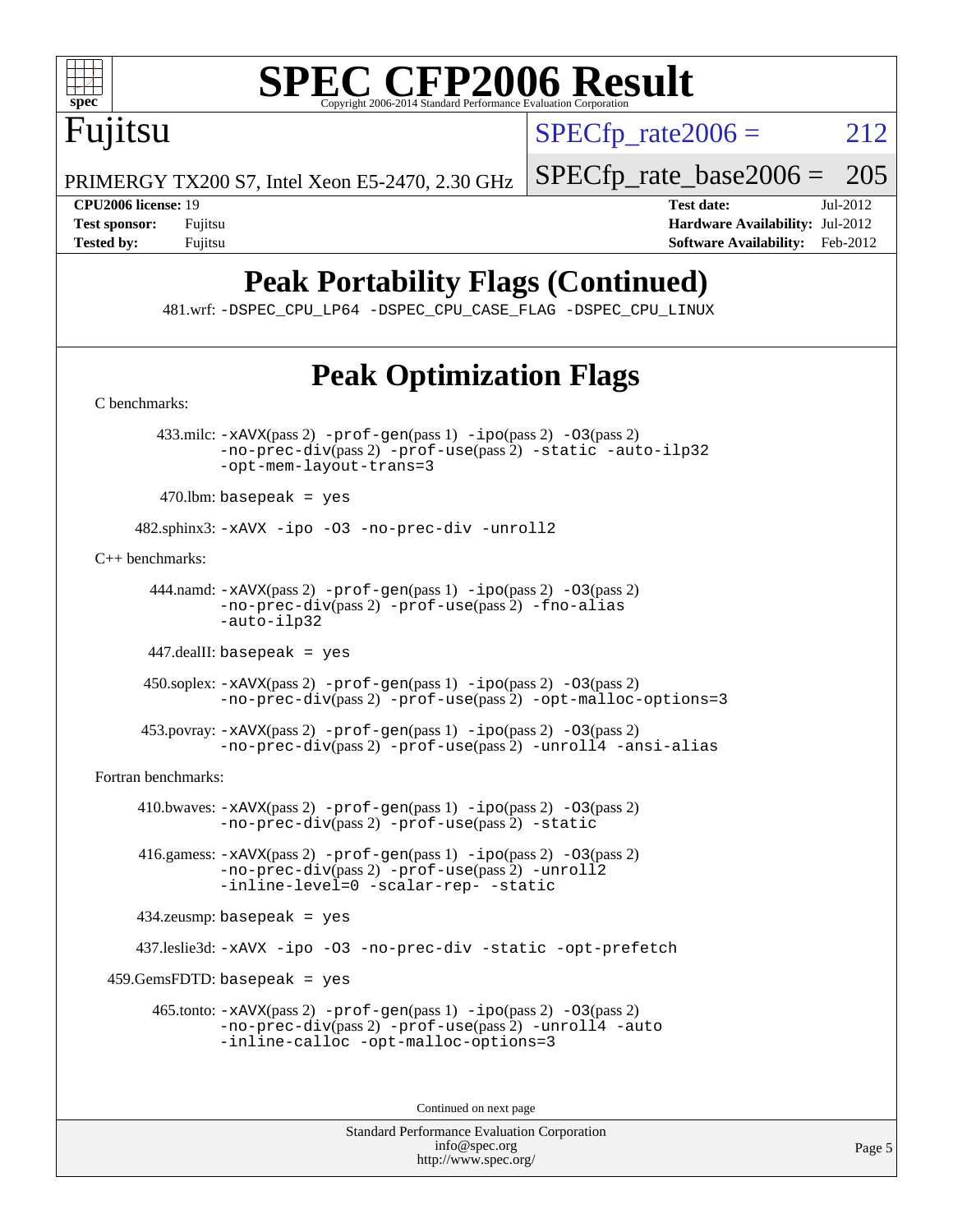

 $SPECTp\_rate2006 = 212$ 

PRIMERGY TX200 S7, Intel Xeon E5-2470, 2.30 GHz

Fujitsu

**[Tested by:](http://www.spec.org/auto/cpu2006/Docs/result-fields.html#Testedby)** Fujitsu **Fugital Example 2012 [Software Availability:](http://www.spec.org/auto/cpu2006/Docs/result-fields.html#SoftwareAvailability)** Feb-2012

[SPECfp\\_rate\\_base2006 =](http://www.spec.org/auto/cpu2006/Docs/result-fields.html#SPECfpratebase2006) 205 **[CPU2006 license:](http://www.spec.org/auto/cpu2006/Docs/result-fields.html#CPU2006license)** 19 **[Test date:](http://www.spec.org/auto/cpu2006/Docs/result-fields.html#Testdate)** Jul-2012 **[Test sponsor:](http://www.spec.org/auto/cpu2006/Docs/result-fields.html#Testsponsor)** Fujitsu **[Hardware Availability:](http://www.spec.org/auto/cpu2006/Docs/result-fields.html#HardwareAvailability)** Jul-2012

# **[Peak Portability Flags \(Continued\)](http://www.spec.org/auto/cpu2006/Docs/result-fields.html#PeakPortabilityFlags)**

481.wrf: [-DSPEC\\_CPU\\_LP64](http://www.spec.org/cpu2006/results/res2012q3/cpu2006-20120810-24124.flags.html#suite_peakPORTABILITY481_wrf_DSPEC_CPU_LP64) [-DSPEC\\_CPU\\_CASE\\_FLAG](http://www.spec.org/cpu2006/results/res2012q3/cpu2006-20120810-24124.flags.html#b481.wrf_peakCPORTABILITY_DSPEC_CPU_CASE_FLAG) [-DSPEC\\_CPU\\_LINUX](http://www.spec.org/cpu2006/results/res2012q3/cpu2006-20120810-24124.flags.html#b481.wrf_peakCPORTABILITY_DSPEC_CPU_LINUX)

# **[Peak Optimization Flags](http://www.spec.org/auto/cpu2006/Docs/result-fields.html#PeakOptimizationFlags)**

[-opt-mem-layout-trans=3](http://www.spec.org/cpu2006/results/res2012q3/cpu2006-20120810-24124.flags.html#user_peakCOPTIMIZE433_milc_f-opt-mem-layout-trans_a7b82ad4bd7abf52556d4961a2ae94d5)  $470$ .lbm: basepeak = yes 482.sphinx3: [-xAVX](http://www.spec.org/cpu2006/results/res2012q3/cpu2006-20120810-24124.flags.html#user_peakOPTIMIZE482_sphinx3_f-xAVX) [-ipo](http://www.spec.org/cpu2006/results/res2012q3/cpu2006-20120810-24124.flags.html#user_peakOPTIMIZE482_sphinx3_f-ipo) [-O3](http://www.spec.org/cpu2006/results/res2012q3/cpu2006-20120810-24124.flags.html#user_peakOPTIMIZE482_sphinx3_f-O3) [-no-prec-div](http://www.spec.org/cpu2006/results/res2012q3/cpu2006-20120810-24124.flags.html#user_peakOPTIMIZE482_sphinx3_f-no-prec-div) [-unroll2](http://www.spec.org/cpu2006/results/res2012q3/cpu2006-20120810-24124.flags.html#user_peakCOPTIMIZE482_sphinx3_f-unroll_784dae83bebfb236979b41d2422d7ec2) [-no-prec-div](http://www.spec.org/cpu2006/results/res2012q3/cpu2006-20120810-24124.flags.html#user_peakPASS2_CXXFLAGSPASS2_LDFLAGS444_namd_f-no-prec-div)(pass 2) [-prof-use](http://www.spec.org/cpu2006/results/res2012q3/cpu2006-20120810-24124.flags.html#user_peakPASS2_CXXFLAGSPASS2_LDFLAGS444_namd_prof_use_bccf7792157ff70d64e32fe3e1250b55)(pass 2) [-fno-alias](http://www.spec.org/cpu2006/results/res2012q3/cpu2006-20120810-24124.flags.html#user_peakCXXOPTIMIZE444_namd_f-no-alias_694e77f6c5a51e658e82ccff53a9e63a) [-auto-ilp32](http://www.spec.org/cpu2006/results/res2012q3/cpu2006-20120810-24124.flags.html#user_peakCXXOPTIMIZE444_namd_f-auto-ilp32) 447.dealII: basepeak = yes 453.povray: [-xAVX](http://www.spec.org/cpu2006/results/res2012q3/cpu2006-20120810-24124.flags.html#user_peakPASS2_CXXFLAGSPASS2_LDFLAGS453_povray_f-xAVX)(pass 2) [-prof-gen](http://www.spec.org/cpu2006/results/res2012q3/cpu2006-20120810-24124.flags.html#user_peakPASS1_CXXFLAGSPASS1_LDFLAGS453_povray_prof_gen_e43856698f6ca7b7e442dfd80e94a8fc)(pass 1) [-ipo](http://www.spec.org/cpu2006/results/res2012q3/cpu2006-20120810-24124.flags.html#user_peakPASS2_CXXFLAGSPASS2_LDFLAGS453_povray_f-ipo)(pass 2) [-O3](http://www.spec.org/cpu2006/results/res2012q3/cpu2006-20120810-24124.flags.html#user_peakPASS2_CXXFLAGSPASS2_LDFLAGS453_povray_f-O3)(pass 2) 410.bwaves:  $-xAUX(pass 2)$  -prof-qen(pass 1) [-ipo](http://www.spec.org/cpu2006/results/res2012q3/cpu2006-20120810-24124.flags.html#user_peakPASS2_FFLAGSPASS2_LDFLAGS410_bwaves_f-ipo)(pass 2) [-O3](http://www.spec.org/cpu2006/results/res2012q3/cpu2006-20120810-24124.flags.html#user_peakPASS2_FFLAGSPASS2_LDFLAGS410_bwaves_f-O3)(pass 2) [-no-prec-div](http://www.spec.org/cpu2006/results/res2012q3/cpu2006-20120810-24124.flags.html#user_peakPASS2_FFLAGSPASS2_LDFLAGS410_bwaves_f-no-prec-div)(pass 2) [-prof-use](http://www.spec.org/cpu2006/results/res2012q3/cpu2006-20120810-24124.flags.html#user_peakPASS2_FFLAGSPASS2_LDFLAGS410_bwaves_prof_use_bccf7792157ff70d64e32fe3e1250b55)(pass 2) [-static](http://www.spec.org/cpu2006/results/res2012q3/cpu2006-20120810-24124.flags.html#user_peakOPTIMIZE410_bwaves_f-static) [-no-prec-div](http://www.spec.org/cpu2006/results/res2012q3/cpu2006-20120810-24124.flags.html#user_peakPASS2_FFLAGSPASS2_LDFLAGS416_gamess_f-no-prec-div)(pass 2) [-prof-use](http://www.spec.org/cpu2006/results/res2012q3/cpu2006-20120810-24124.flags.html#user_peakPASS2_FFLAGSPASS2_LDFLAGS416_gamess_prof_use_bccf7792157ff70d64e32fe3e1250b55)(pass 2) [-unroll2](http://www.spec.org/cpu2006/results/res2012q3/cpu2006-20120810-24124.flags.html#user_peakOPTIMIZE416_gamess_f-unroll_784dae83bebfb236979b41d2422d7ec2) [-inline-level=0](http://www.spec.org/cpu2006/results/res2012q3/cpu2006-20120810-24124.flags.html#user_peakOPTIMIZE416_gamess_f-inline-level_318d07a09274ad25e8d15dbfaa68ba50) [-scalar-rep-](http://www.spec.org/cpu2006/results/res2012q3/cpu2006-20120810-24124.flags.html#user_peakOPTIMIZE416_gamess_f-disablescalarrep_abbcad04450fb118e4809c81d83c8a1d) [-static](http://www.spec.org/cpu2006/results/res2012q3/cpu2006-20120810-24124.flags.html#user_peakOPTIMIZE416_gamess_f-static) 434.zeusmp: basepeak = yes 465.tonto: [-xAVX](http://www.spec.org/cpu2006/results/res2012q3/cpu2006-20120810-24124.flags.html#user_peakPASS2_FFLAGSPASS2_LDFLAGS465_tonto_f-xAVX)(pass 2) [-prof-gen](http://www.spec.org/cpu2006/results/res2012q3/cpu2006-20120810-24124.flags.html#user_peakPASS1_FFLAGSPASS1_LDFLAGS465_tonto_prof_gen_e43856698f6ca7b7e442dfd80e94a8fc)(pass 1) [-ipo](http://www.spec.org/cpu2006/results/res2012q3/cpu2006-20120810-24124.flags.html#user_peakPASS2_FFLAGSPASS2_LDFLAGS465_tonto_f-ipo)(pass 2) [-O3](http://www.spec.org/cpu2006/results/res2012q3/cpu2006-20120810-24124.flags.html#user_peakPASS2_FFLAGSPASS2_LDFLAGS465_tonto_f-O3)(pass 2) [-no-prec-div](http://www.spec.org/cpu2006/results/res2012q3/cpu2006-20120810-24124.flags.html#user_peakPASS2_FFLAGSPASS2_LDFLAGS465_tonto_f-no-prec-div)(pass 2) [-prof-use](http://www.spec.org/cpu2006/results/res2012q3/cpu2006-20120810-24124.flags.html#user_peakPASS2_FFLAGSPASS2_LDFLAGS465_tonto_prof_use_bccf7792157ff70d64e32fe3e1250b55)(pass 2) [-unroll4](http://www.spec.org/cpu2006/results/res2012q3/cpu2006-20120810-24124.flags.html#user_peakOPTIMIZE465_tonto_f-unroll_4e5e4ed65b7fd20bdcd365bec371b81f) [-auto](http://www.spec.org/cpu2006/results/res2012q3/cpu2006-20120810-24124.flags.html#user_peakOPTIMIZE465_tonto_f-auto) [-inline-calloc](http://www.spec.org/cpu2006/results/res2012q3/cpu2006-20120810-24124.flags.html#user_peakOPTIMIZE465_tonto_f-inline-calloc) [-opt-malloc-options=3](http://www.spec.org/cpu2006/results/res2012q3/cpu2006-20120810-24124.flags.html#user_peakOPTIMIZE465_tonto_f-opt-malloc-options_13ab9b803cf986b4ee62f0a5998c2238) Continued on next page

> Standard Performance Evaluation Corporation [info@spec.org](mailto:info@spec.org) <http://www.spec.org/>

[C benchmarks](http://www.spec.org/auto/cpu2006/Docs/result-fields.html#Cbenchmarks):

 433.milc: [-xAVX](http://www.spec.org/cpu2006/results/res2012q3/cpu2006-20120810-24124.flags.html#user_peakPASS2_CFLAGSPASS2_LDFLAGS433_milc_f-xAVX)(pass 2) [-prof-gen](http://www.spec.org/cpu2006/results/res2012q3/cpu2006-20120810-24124.flags.html#user_peakPASS1_CFLAGSPASS1_LDFLAGS433_milc_prof_gen_e43856698f6ca7b7e442dfd80e94a8fc)(pass 1) [-ipo](http://www.spec.org/cpu2006/results/res2012q3/cpu2006-20120810-24124.flags.html#user_peakPASS2_CFLAGSPASS2_LDFLAGS433_milc_f-ipo)(pass 2) [-O3](http://www.spec.org/cpu2006/results/res2012q3/cpu2006-20120810-24124.flags.html#user_peakPASS2_CFLAGSPASS2_LDFLAGS433_milc_f-O3)(pass 2) [-no-prec-div](http://www.spec.org/cpu2006/results/res2012q3/cpu2006-20120810-24124.flags.html#user_peakPASS2_CFLAGSPASS2_LDFLAGS433_milc_f-no-prec-div)(pass 2) [-prof-use](http://www.spec.org/cpu2006/results/res2012q3/cpu2006-20120810-24124.flags.html#user_peakPASS2_CFLAGSPASS2_LDFLAGS433_milc_prof_use_bccf7792157ff70d64e32fe3e1250b55)(pass 2) [-static](http://www.spec.org/cpu2006/results/res2012q3/cpu2006-20120810-24124.flags.html#user_peakOPTIMIZE433_milc_f-static) [-auto-ilp32](http://www.spec.org/cpu2006/results/res2012q3/cpu2006-20120810-24124.flags.html#user_peakCOPTIMIZE433_milc_f-auto-ilp32)

[C++ benchmarks:](http://www.spec.org/auto/cpu2006/Docs/result-fields.html#CXXbenchmarks)

444.namd:  $-x$ AVX(pass 2)  $-p$ rof-gen(pass 1)  $-p$ po(pass 2)  $-03$ (pass 2)

 450.soplex: [-xAVX](http://www.spec.org/cpu2006/results/res2012q3/cpu2006-20120810-24124.flags.html#user_peakPASS2_CXXFLAGSPASS2_LDFLAGS450_soplex_f-xAVX)(pass 2) [-prof-gen](http://www.spec.org/cpu2006/results/res2012q3/cpu2006-20120810-24124.flags.html#user_peakPASS1_CXXFLAGSPASS1_LDFLAGS450_soplex_prof_gen_e43856698f6ca7b7e442dfd80e94a8fc)(pass 1) [-ipo](http://www.spec.org/cpu2006/results/res2012q3/cpu2006-20120810-24124.flags.html#user_peakPASS2_CXXFLAGSPASS2_LDFLAGS450_soplex_f-ipo)(pass 2) [-O3](http://www.spec.org/cpu2006/results/res2012q3/cpu2006-20120810-24124.flags.html#user_peakPASS2_CXXFLAGSPASS2_LDFLAGS450_soplex_f-O3)(pass 2) [-no-prec-div](http://www.spec.org/cpu2006/results/res2012q3/cpu2006-20120810-24124.flags.html#user_peakPASS2_CXXFLAGSPASS2_LDFLAGS450_soplex_f-no-prec-div)(pass 2) [-prof-use](http://www.spec.org/cpu2006/results/res2012q3/cpu2006-20120810-24124.flags.html#user_peakPASS2_CXXFLAGSPASS2_LDFLAGS450_soplex_prof_use_bccf7792157ff70d64e32fe3e1250b55)(pass 2) [-opt-malloc-options=3](http://www.spec.org/cpu2006/results/res2012q3/cpu2006-20120810-24124.flags.html#user_peakOPTIMIZE450_soplex_f-opt-malloc-options_13ab9b803cf986b4ee62f0a5998c2238)

[-no-prec-div](http://www.spec.org/cpu2006/results/res2012q3/cpu2006-20120810-24124.flags.html#user_peakPASS2_CXXFLAGSPASS2_LDFLAGS453_povray_f-no-prec-div)(pass 2) [-prof-use](http://www.spec.org/cpu2006/results/res2012q3/cpu2006-20120810-24124.flags.html#user_peakPASS2_CXXFLAGSPASS2_LDFLAGS453_povray_prof_use_bccf7792157ff70d64e32fe3e1250b55)(pass 2) [-unroll4](http://www.spec.org/cpu2006/results/res2012q3/cpu2006-20120810-24124.flags.html#user_peakCXXOPTIMIZE453_povray_f-unroll_4e5e4ed65b7fd20bdcd365bec371b81f) [-ansi-alias](http://www.spec.org/cpu2006/results/res2012q3/cpu2006-20120810-24124.flags.html#user_peakCXXOPTIMIZE453_povray_f-ansi-alias)

[Fortran benchmarks](http://www.spec.org/auto/cpu2006/Docs/result-fields.html#Fortranbenchmarks):

416.gamess: [-xAVX](http://www.spec.org/cpu2006/results/res2012q3/cpu2006-20120810-24124.flags.html#user_peakPASS2_FFLAGSPASS2_LDFLAGS416_gamess_f-xAVX)(pass 2) [-prof-gen](http://www.spec.org/cpu2006/results/res2012q3/cpu2006-20120810-24124.flags.html#user_peakPASS1_FFLAGSPASS1_LDFLAGS416_gamess_prof_gen_e43856698f6ca7b7e442dfd80e94a8fc)(pass 1) [-ipo](http://www.spec.org/cpu2006/results/res2012q3/cpu2006-20120810-24124.flags.html#user_peakPASS2_FFLAGSPASS2_LDFLAGS416_gamess_f-ipo)(pass 2) [-O3](http://www.spec.org/cpu2006/results/res2012q3/cpu2006-20120810-24124.flags.html#user_peakPASS2_FFLAGSPASS2_LDFLAGS416_gamess_f-O3)(pass 2)

437.leslie3d: [-xAVX](http://www.spec.org/cpu2006/results/res2012q3/cpu2006-20120810-24124.flags.html#user_peakOPTIMIZE437_leslie3d_f-xAVX) [-ipo](http://www.spec.org/cpu2006/results/res2012q3/cpu2006-20120810-24124.flags.html#user_peakOPTIMIZE437_leslie3d_f-ipo) [-O3](http://www.spec.org/cpu2006/results/res2012q3/cpu2006-20120810-24124.flags.html#user_peakOPTIMIZE437_leslie3d_f-O3) [-no-prec-div](http://www.spec.org/cpu2006/results/res2012q3/cpu2006-20120810-24124.flags.html#user_peakOPTIMIZE437_leslie3d_f-no-prec-div) [-static](http://www.spec.org/cpu2006/results/res2012q3/cpu2006-20120810-24124.flags.html#user_peakOPTIMIZE437_leslie3d_f-static) [-opt-prefetch](http://www.spec.org/cpu2006/results/res2012q3/cpu2006-20120810-24124.flags.html#user_peakOPTIMIZE437_leslie3d_f-opt-prefetch)

459.GemsFDTD: basepeak = yes

Page 5